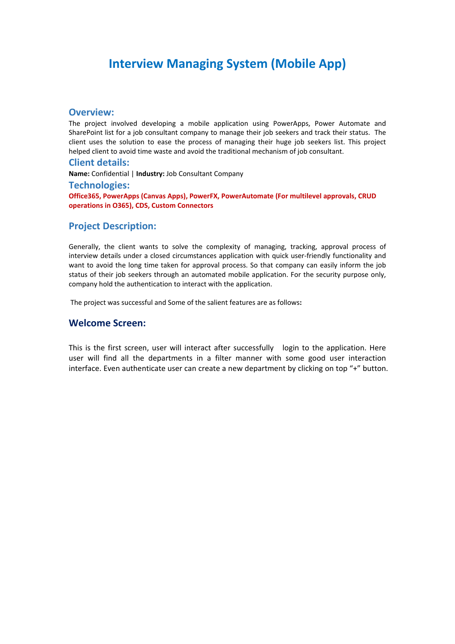# **Interview Managing System (Mobile App)**

#### **Overview:**

The project involved developing a mobile application using PowerApps, Power Automate and SharePoint list for a job consultant company to manage their job seekers and track their status. The client uses the solution to ease the process of managing their huge job seekers list. This project helped client to avoid time waste and avoid the traditional mechanism of job consultant.

#### **Client details:**

**Name:** Confidential | **Industry:** Job Consultant Company

#### **Technologies:**

**Office365, PowerApps (Canvas Apps), PowerFX, PowerAutomate (For multilevel approvals, CRUD operations in O365), CDS, Custom Connectors**

#### **Project Description:**

Generally, the client wants to solve the complexity of managing, tracking, approval process of interview details under a closed circumstances application with quick user-friendly functionality and want to avoid the long time taken for approval process. So that company can easily inform the job status of their job seekers through an automated mobile application. For the security purpose only, company hold the authentication to interact with the application.

The project was successful and Some of the salient features are as follows**:**

#### **Welcome Screen:**

This is the first screen, user will interact after successfully login to the application. Here user will find all the departments in a filter manner with some good user interaction interface. Even authenticate user can create a new department by clicking on top "+" button.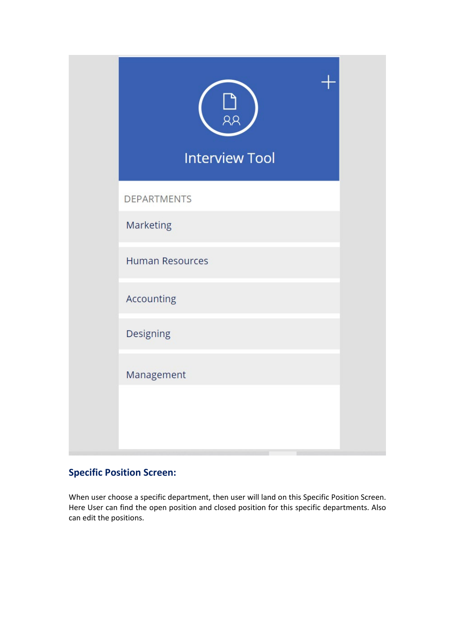| RR<br><b>Interview Tool</b> |  |
|-----------------------------|--|
| <b>DEPARTMENTS</b>          |  |
| Marketing                   |  |
| <b>Human Resources</b>      |  |
| Accounting                  |  |
| Designing                   |  |
| Management                  |  |
|                             |  |
|                             |  |

# **Specific Position Screen:**

When user choose a specific department, then user will land on this Specific Position Screen. Here User can find the open position and closed position for this specific departments. Also can edit the positions.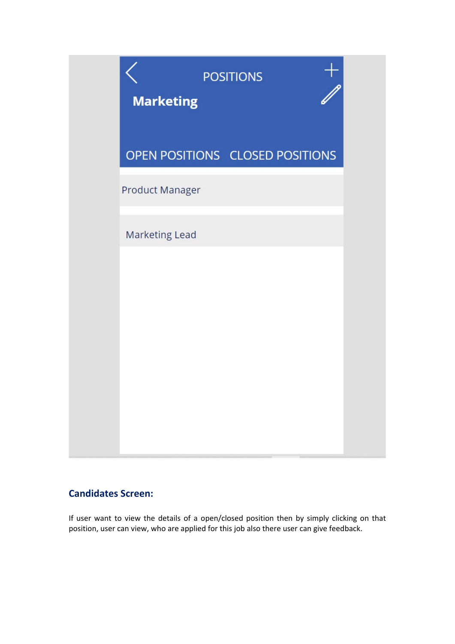

### **Candidates Screen:**

If user want to view the details of a open/closed position then by simply clicking on that position, user can view, who are applied for this job also there user can give feedback.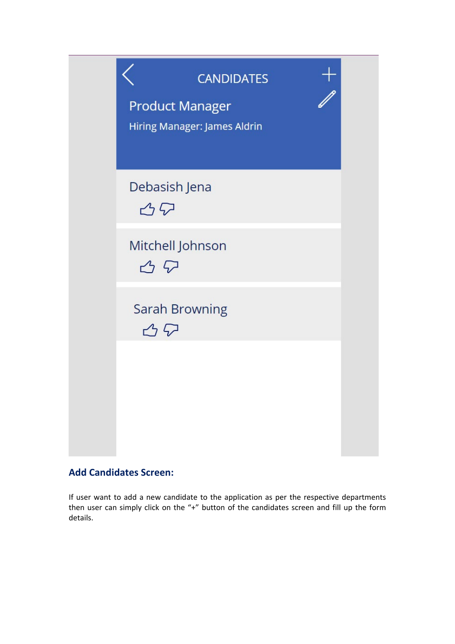

## **Add Candidates Screen:**

If user want to add a new candidate to the application as per the respective departments then user can simply click on the "+" button of the candidates screen and fill up the form details.